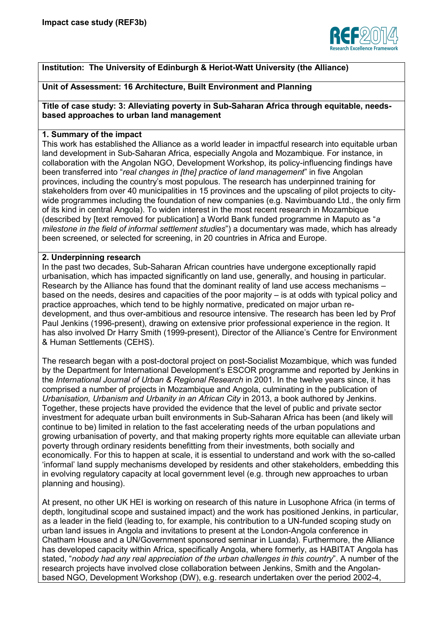

# **Institution: The University of Edinburgh & Heriot-Watt University (the Alliance)**

## **Unit of Assessment: 16 Architecture, Built Environment and Planning**

**Title of case study: 3: Alleviating poverty in Sub-Saharan Africa through equitable, needsbased approaches to urban land management** 

## **1. Summary of the impact**

This work has established the Alliance as a world leader in impactful research into equitable urban land development in Sub-Saharan Africa, especially Angola and Mozambique. For instance, in collaboration with the Angolan NGO, Development Workshop, its policy-influencing findings have been transferred into "*real changes in [the] practice of land management*" in five Angolan provinces, including the country's most populous. The research has underpinned training for stakeholders from over 40 municipalities in 15 provinces and the upscaling of pilot projects to citywide programmes including the foundation of new companies (e.g. Navimbuando Ltd., the only firm of its kind in central Angola). To widen interest in the most recent research in Mozambique (described by [text removed for publication] a World Bank funded programme in Maputo as "*a milestone in the field of informal settlement studies*") a documentary was made, which has already been screened, or selected for screening, in 20 countries in Africa and Europe.

#### **2. Underpinning research**

In the past two decades, Sub-Saharan African countries have undergone exceptionally rapid urbanisation, which has impacted significantly on land use, generally, and housing in particular. Research by the Alliance has found that the dominant reality of land use access mechanisms – based on the needs, desires and capacities of the poor majority – is at odds with typical policy and practice approaches, which tend to be highly normative, predicated on major urban redevelopment, and thus over-ambitious and resource intensive. The research has been led by Prof Paul Jenkins (1996-present), drawing on extensive prior professional experience in the region. It has also involved Dr Harry Smith (1999-present), Director of the Alliance's Centre for Environment & Human Settlements (CEHS).

The research began with a post-doctoral project on post-Socialist Mozambique, which was funded by the Department for International Development's ESCOR programme and reported by Jenkins in the *International Journal of Urban & Regional Research* in 2001. In the twelve years since, it has comprised a number of projects in Mozambique and Angola, culminating in the publication of *Urbanisation, Urbanism and Urbanity in an African City* in 2013, a book authored by Jenkins. Together, these projects have provided the evidence that the level of public and private sector investment for adequate urban built environments in Sub-Saharan Africa has been (and likely will continue to be) limited in relation to the fast accelerating needs of the urban populations and growing urbanisation of poverty, and that making property rights more equitable can alleviate urban poverty through ordinary residents benefitting from their investments, both socially and economically. For this to happen at scale, it is essential to understand and work with the so-called 'informal' land supply mechanisms developed by residents and other stakeholders, embedding this in evolving regulatory capacity at local government level (e.g. through new approaches to urban planning and housing).

At present, no other UK HEI is working on research of this nature in Lusophone Africa (in terms of depth, longitudinal scope and sustained impact) and the work has positioned Jenkins, in particular, as a leader in the field (leading to, for example, his contribution to a UN-funded scoping study on urban land issues in Angola and invitations to present at the London-Angola conference in Chatham House and a UN/Government sponsored seminar in Luanda). Furthermore, the Alliance has developed capacity within Africa, specifically Angola, where formerly, as HABITAT Angola has stated, "*nobody had any real appreciation of the urban challenges in this country*". A number of the research projects have involved close collaboration between Jenkins, Smith and the Angolanbased NGO, Development Workshop (DW), e.g. research undertaken over the period 2002-4,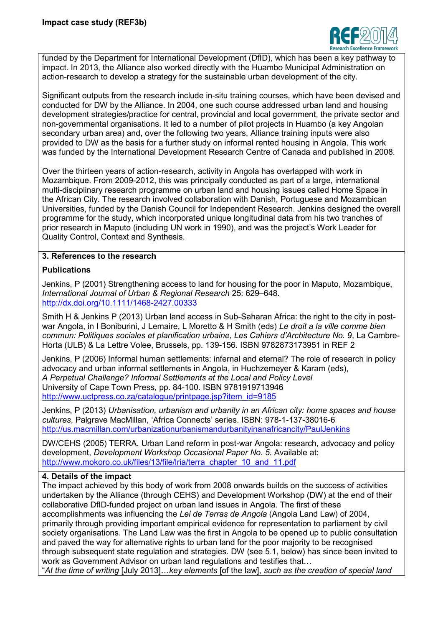

funded by the Department for International Development (DfID), which has been a key pathway to impact. In 2013, the Alliance also worked directly with the Huambo Municipal Administration on action-research to develop a strategy for the sustainable urban development of the city.

Significant outputs from the research include in-situ training courses, which have been devised and conducted for DW by the Alliance. In 2004, one such course addressed urban land and housing development strategies/practice for central, provincial and local government, the private sector and non-governmental organisations. It led to a number of pilot projects in Huambo (a key Angolan secondary urban area) and, over the following two years, Alliance training inputs were also provided to DW as the basis for a further study on informal rented housing in Angola. This work was funded by the International Development Research Centre of Canada and published in 2008.

Over the thirteen years of action-research, activity in Angola has overlapped with work in Mozambique. From 2009-2012, this was principally conducted as part of a large, international multi-disciplinary research programme on urban land and housing issues called Home Space in the African City. The research involved collaboration with Danish, Portuguese and Mozambican Universities, funded by the Danish Council for Independent Research. Jenkins designed the overall programme for the study, which incorporated unique longitudinal data from his two tranches of prior research in Maputo (including UN work in 1990), and was the project's Work Leader for Quality Control, Context and Synthesis.

## **3. References to the research**

## **Publications**

Jenkins, P (2001) Strengthening access to land for housing for the poor in Maputo, Mozambique, *International Journal of Urban & Regional Research* 25: 629–648. <http://dx.doi.org/10.1111/1468-2427.00333>

Smith H & Jenkins P (2013) Urban land access in Sub-Saharan Africa: the right to the city in postwar Angola, in I Boniburini, J Lemaire, L Moretto & H Smith (eds) *Le droit a la ville comme bien commun: Politiques sociales et planification urbaine, Les Cahiers d'Architecture No. 9*, La Cambre-Horta (ULB) & La Lettre Volee, Brussels, pp. 139-156. ISBN 9782873173951 in REF 2

Jenkins, P (2006) Informal human settlements: infernal and eternal? The role of research in policy advocacy and urban informal settlements in Angola, in Huchzemeyer & Karam (eds), *A Perpetual Challenge? Informal Settlements at the Local and Policy Level*  University of Cape Town Press, pp. 84-100. ISBN 9781919713946 [http://www.uctpress.co.za/catalogue/printpage.jsp?item\\_id=9185](http://www.uctpress.co.za/catalogue/printpage.jsp?item_id=9185)

Jenkins, P (2013) *Urbanisation, urbanism and urbanity in an African city: home spaces and house cultures*, Palgrave MacMillan, 'Africa Connects' series. ISBN: 978-1-137-38016-6 <http://us.macmillan.com/urbanizationurbanismandurbanityinanafricancity/PaulJenkins>

DW/CEHS (2005) TERRA. Urban Land reform in post-war Angola: research, advocacy and policy development, *Development Workshop Occasional Paper No. 5.* Available at: [http://www.mokoro.co.uk/files/13/file/lria/terra\\_chapter\\_10\\_and\\_11.pdf](http://www.mokoro.co.uk/files/13/file/lria/terra_chapter_10_and_11.pdf)

#### **4. Details of the impact**

The impact achieved by this body of work from 2008 onwards builds on the success of activities undertaken by the Alliance (through CEHS) and Development Workshop (DW) at the end of their collaborative DfID-funded project on urban land issues in Angola. The first of these accomplishments was influencing the *Lei de Terras de Angola* (Angola Land Law) of 2004, primarily through providing important empirical evidence for representation to parliament by civil society organisations. The Land Law was the first in Angola to be opened up to public consultation and paved the way for alternative rights to urban land for the poor majority to be recognised through subsequent state regulation and strategies. DW (see 5.1, below) has since been invited to work as Government Advisor on urban land regulations and testifies that…

"*At the time of writing* [July 2013]…*key elements* [of the law], *such as the creation of special land*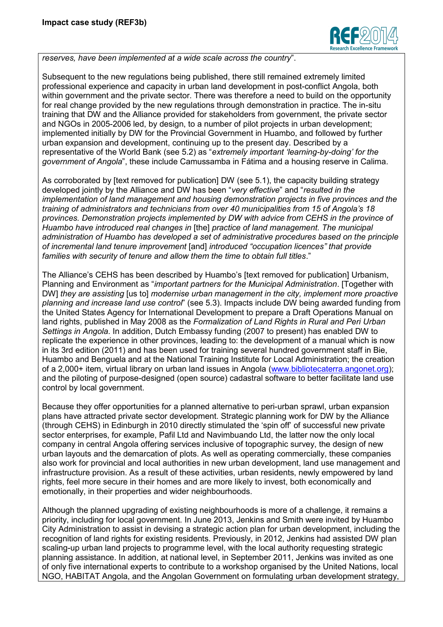

*reserves, have been implemented at a wide scale across the country*".

Subsequent to the new regulations being published, there still remained extremely limited professional experience and capacity in urban land development in post-conflict Angola, both within government and the private sector. There was therefore a need to build on the opportunity for real change provided by the new regulations through demonstration in practice. The in-situ training that DW and the Alliance provided for stakeholders from government, the private sector and NGOs in 2005-2006 led, by design, to a number of pilot projects in urban development; implemented initially by DW for the Provincial Government in Huambo, and followed by further urban expansion and development, continuing up to the present day. Described by a representative of the World Bank (see 5.2) as "*extremely important 'learning-by-doing' for the government of Angola*", these include Camussamba in Fátima and a housing reserve in Calima.

As corroborated by [text removed for publication] DW (see 5.1), the capacity building strategy developed jointly by the Alliance and DW has been "*very effective*" and "*resulted in the implementation of land management and housing demonstration projects in five provinces and the training of administrators and technicians from over 40 municipalities from 15 of Angola's 18 provinces. Demonstration projects implemented by DW with advice from CEHS in the province of Huambo have introduced real changes in* [the] *practice of land management. The municipal administration of Huambo has developed a set of administrative procedures based on the principle of incremental land tenure improvement* [and] *introduced "occupation licences" that provide families with security of tenure and allow them the time to obtain full titles*."

The Alliance's CEHS has been described by Huambo's [text removed for publication] Urbanism, Planning and Environment as "*important partners for the Municipal Administration*. [Together with DW] *they are assisting* [us to] *modernise urban management in the city, implement more proactive planning and increase land use control*" (see 5.3). Impacts include DW being awarded funding from the United States Agency for International Development to prepare a Draft Operations Manual on land rights, published in May 2008 as the *Formalization of Land Rights in Rural and Peri Urban Settings in Angola*. In addition, Dutch Embassy funding (2007 to present) has enabled DW to replicate the experience in other provinces, leading to: the development of a manual which is now in its 3rd edition (2011) and has been used for training several hundred government staff in Bie, Huambo and Benguela and at the National Training Institute for Local Administration; the creation of a 2,000+ item, virtual library on urban land issues in Angola [\(www.bibliotecaterra.angonet.org\)](http://www.bibliotecaterra.angonet.org/); and the piloting of purpose-designed (open source) cadastral software to better facilitate land use control by local government.

Because they offer opportunities for a planned alternative to peri-urban sprawl, urban expansion plans have attracted private sector development. Strategic planning work for DW by the Alliance (through CEHS) in Edinburgh in 2010 directly stimulated the 'spin off' of successful new private sector enterprises, for example, Pafil Ltd and Navimbuando Ltd, the latter now the only local company in central Angola offering services inclusive of topographic survey, the design of new urban layouts and the demarcation of plots. As well as operating commercially, these companies also work for provincial and local authorities in new urban development, land use management and infrastructure provision. As a result of these activities, urban residents, newly empowered by land rights, feel more secure in their homes and are more likely to invest, both economically and emotionally, in their properties and wider neighbourhoods.

Although the planned upgrading of existing neighbourhoods is more of a challenge, it remains a priority, including for local government. In June 2013, Jenkins and Smith were invited by Huambo City Administration to assist in devising a strategic action plan for urban development, including the recognition of land rights for existing residents. Previously, in 2012, Jenkins had assisted DW plan scaling-up urban land projects to programme level, with the local authority requesting strategic planning assistance. In addition, at national level, in September 2011, Jenkins was invited as one of only five international experts to contribute to a workshop organised by the United Nations, local NGO, HABITAT Angola, and the Angolan Government on formulating urban development strategy,